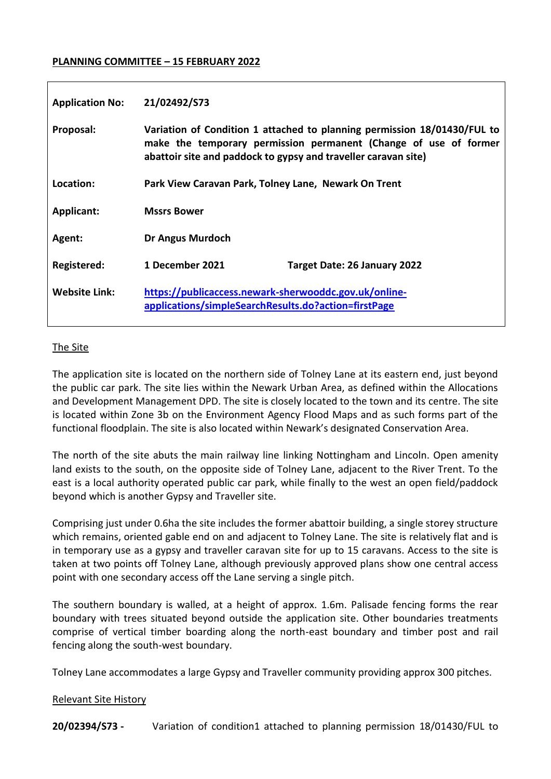#### **PLANNING COMMITTEE – 15 FEBRUARY 2022**

| <b>Application No:</b> | 21/02492/S73                                                                                                                                                                                                   |                              |
|------------------------|----------------------------------------------------------------------------------------------------------------------------------------------------------------------------------------------------------------|------------------------------|
| Proposal:              | Variation of Condition 1 attached to planning permission 18/01430/FUL to<br>make the temporary permission permanent (Change of use of former<br>abattoir site and paddock to gypsy and traveller caravan site) |                              |
| Location:              | Park View Caravan Park, Tolney Lane, Newark On Trent                                                                                                                                                           |                              |
| Applicant:             | <b>Mssrs Bower</b>                                                                                                                                                                                             |                              |
| Agent:                 | <b>Dr Angus Murdoch</b>                                                                                                                                                                                        |                              |
| Registered:            | 1 December 2021                                                                                                                                                                                                | Target Date: 26 January 2022 |
| <b>Website Link:</b>   | https://publicaccess.newark-sherwooddc.gov.uk/online-<br>applications/simpleSearchResults.do?action=firstPage                                                                                                  |                              |

## The Site

The application site is located on the northern side of Tolney Lane at its eastern end, just beyond the public car park. The site lies within the Newark Urban Area, as defined within the Allocations and Development Management DPD. The site is closely located to the town and its centre. The site is located within Zone 3b on the Environment Agency Flood Maps and as such forms part of the functional floodplain. The site is also located within Newark's designated Conservation Area.

The north of the site abuts the main railway line linking Nottingham and Lincoln. Open amenity land exists to the south, on the opposite side of Tolney Lane, adjacent to the River Trent. To the east is a local authority operated public car park, while finally to the west an open field/paddock beyond which is another Gypsy and Traveller site.

Comprising just under 0.6ha the site includes the former abattoir building, a single storey structure which remains, oriented gable end on and adjacent to Tolney Lane. The site is relatively flat and is in temporary use as a gypsy and traveller caravan site for up to 15 caravans. Access to the site is taken at two points off Tolney Lane, although previously approved plans show one central access point with one secondary access off the Lane serving a single pitch.

The southern boundary is walled, at a height of approx. 1.6m. Palisade fencing forms the rear boundary with trees situated beyond outside the application site. Other boundaries treatments comprise of vertical timber boarding along the north-east boundary and timber post and rail fencing along the south-west boundary.

Tolney Lane accommodates a large Gypsy and Traveller community providing approx 300 pitches.

#### Relevant Site History

**20/02394/S73 -** Variation of condition1 attached to planning permission 18/01430/FUL to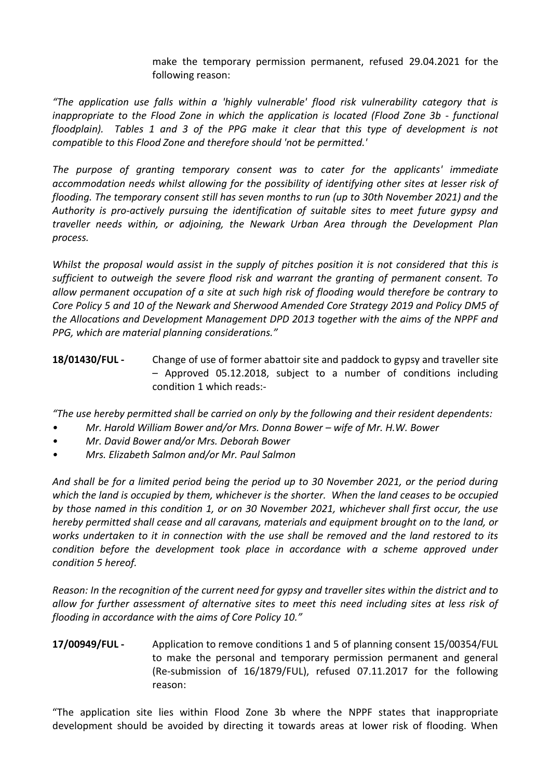make the temporary permission permanent, refused 29.04.2021 for the following reason:

*"The application use falls within a 'highly vulnerable' flood risk vulnerability category that is inappropriate to the Flood Zone in which the application is located (Flood Zone 3b - functional floodplain). Tables 1 and 3 of the PPG make it clear that this type of development is not compatible to this Flood Zone and therefore should 'not be permitted.'* 

*The purpose of granting temporary consent was to cater for the applicants' immediate accommodation needs whilst allowing for the possibility of identifying other sites at lesser risk of flooding. The temporary consent still has seven months to run (up to 30th November 2021) and the Authority is pro-actively pursuing the identification of suitable sites to meet future gypsy and traveller needs within, or adjoining, the Newark Urban Area through the Development Plan process.* 

*Whilst the proposal would assist in the supply of pitches position it is not considered that this is sufficient to outweigh the severe flood risk and warrant the granting of permanent consent. To allow permanent occupation of a site at such high risk of flooding would therefore be contrary to Core Policy 5 and 10 of the Newark and Sherwood Amended Core Strategy 2019 and Policy DM5 of the Allocations and Development Management DPD 2013 together with the aims of the NPPF and PPG, which are material planning considerations."*

**18/01430/FUL -** Change of use of former abattoir site and paddock to gypsy and traveller site – Approved 05.12.2018, subject to a number of conditions including condition 1 which reads:-

*"The use hereby permitted shall be carried on only by the following and their resident dependents:*

- *• Mr. Harold William Bower and/or Mrs. Donna Bower – wife of Mr. H.W. Bower*
- *• Mr. David Bower and/or Mrs. Deborah Bower*
- *• Mrs. Elizabeth Salmon and/or Mr. Paul Salmon*

*And shall be for a limited period being the period up to 30 November 2021, or the period during which the land is occupied by them, whichever is the shorter. When the land ceases to be occupied by those named in this condition 1, or on 30 November 2021, whichever shall first occur, the use hereby permitted shall cease and all caravans, materials and equipment brought on to the land, or works undertaken to it in connection with the use shall be removed and the land restored to its condition before the development took place in accordance with a scheme approved under condition 5 hereof.*

*Reason: In the recognition of the current need for gypsy and traveller sites within the district and to allow for further assessment of alternative sites to meet this need including sites at less risk of flooding in accordance with the aims of Core Policy 10."*

**17/00949/FUL -** Application to remove conditions 1 and 5 of planning consent 15/00354/FUL to make the personal and temporary permission permanent and general (Re-submission of 16/1879/FUL), refused 07.11.2017 for the following reason:

"The application site lies within Flood Zone 3b where the NPPF states that inappropriate development should be avoided by directing it towards areas at lower risk of flooding. When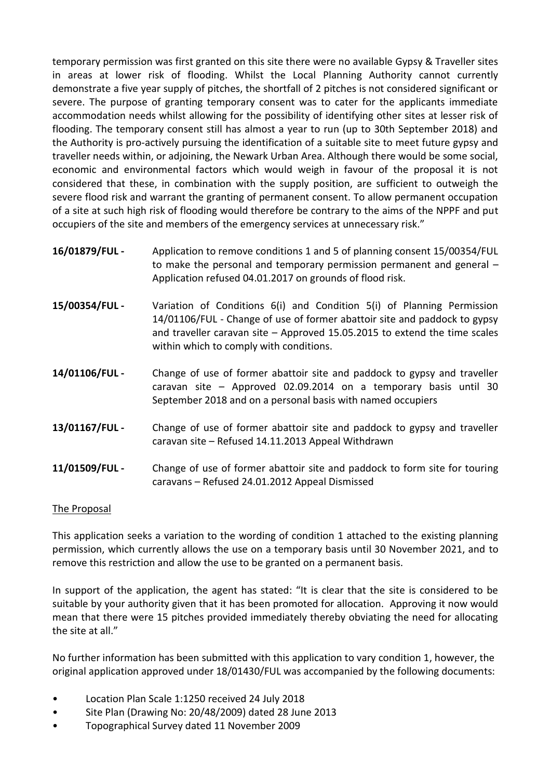temporary permission was first granted on this site there were no available Gypsy & Traveller sites in areas at lower risk of flooding. Whilst the Local Planning Authority cannot currently demonstrate a five year supply of pitches, the shortfall of 2 pitches is not considered significant or severe. The purpose of granting temporary consent was to cater for the applicants immediate accommodation needs whilst allowing for the possibility of identifying other sites at lesser risk of flooding. The temporary consent still has almost a year to run (up to 30th September 2018) and the Authority is pro-actively pursuing the identification of a suitable site to meet future gypsy and traveller needs within, or adjoining, the Newark Urban Area. Although there would be some social, economic and environmental factors which would weigh in favour of the proposal it is not considered that these, in combination with the supply position, are sufficient to outweigh the severe flood risk and warrant the granting of permanent consent. To allow permanent occupation of a site at such high risk of flooding would therefore be contrary to the aims of the NPPF and put occupiers of the site and members of the emergency services at unnecessary risk."

- **16/01879/FUL -** Application to remove conditions 1 and 5 of planning consent 15/00354/FUL to make the personal and temporary permission permanent and general – Application refused 04.01.2017 on grounds of flood risk.
- **15/00354/FUL -** Variation of Conditions 6(i) and Condition 5(i) of Planning Permission 14/01106/FUL - Change of use of former abattoir site and paddock to gypsy and traveller caravan site – Approved 15.05.2015 to extend the time scales within which to comply with conditions.
- **14/01106/FUL -** Change of use of former abattoir site and paddock to gypsy and traveller caravan site – Approved 02.09.2014 on a temporary basis until 30 September 2018 and on a personal basis with named occupiers
- **13/01167/FUL -** Change of use of former abattoir site and paddock to gypsy and traveller caravan site – Refused 14.11.2013 Appeal Withdrawn
- **11/01509/FUL -** Change of use of former abattoir site and paddock to form site for touring caravans – Refused 24.01.2012 Appeal Dismissed

## The Proposal

This application seeks a variation to the wording of condition 1 attached to the existing planning permission, which currently allows the use on a temporary basis until 30 November 2021, and to remove this restriction and allow the use to be granted on a permanent basis.

In support of the application, the agent has stated: "It is clear that the site is considered to be suitable by your authority given that it has been promoted for allocation. Approving it now would mean that there were 15 pitches provided immediately thereby obviating the need for allocating the site at all."

No further information has been submitted with this application to vary condition 1, however, the original application approved under 18/01430/FUL was accompanied by the following documents:

- Location Plan Scale 1:1250 received 24 July 2018
- Site Plan (Drawing No: 20/48/2009) dated 28 June 2013
- Topographical Survey dated 11 November 2009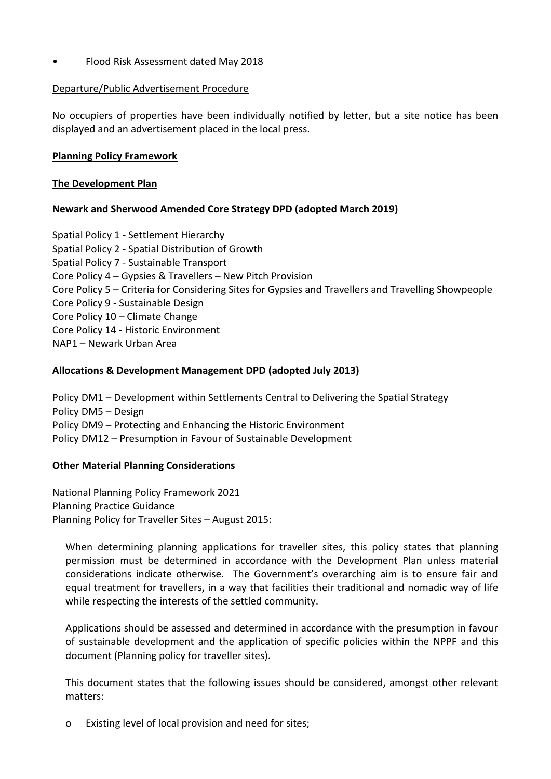• Flood Risk Assessment dated May 2018

## Departure/Public Advertisement Procedure

No occupiers of properties have been individually notified by letter, but a site notice has been displayed and an advertisement placed in the local press.

# **Planning Policy Framework**

## **The Development Plan**

# **Newark and Sherwood Amended Core Strategy DPD (adopted March 2019)**

Spatial Policy 1 - Settlement Hierarchy Spatial Policy 2 - Spatial Distribution of Growth Spatial Policy 7 - Sustainable Transport Core Policy 4 – Gypsies & Travellers – New Pitch Provision Core Policy 5 – Criteria for Considering Sites for Gypsies and Travellers and Travelling Showpeople Core Policy 9 - Sustainable Design Core Policy 10 – Climate Change Core Policy 14 - Historic Environment NAP1 – Newark Urban Area

# **Allocations & Development Management DPD (adopted July 2013)**

Policy DM1 – Development within Settlements Central to Delivering the Spatial Strategy Policy DM5 – Design Policy DM9 – Protecting and Enhancing the Historic Environment Policy DM12 – Presumption in Favour of Sustainable Development

## **Other Material Planning Considerations**

National Planning Policy Framework 2021 Planning Practice Guidance Planning Policy for Traveller Sites – August 2015:

When determining planning applications for traveller sites, this policy states that planning permission must be determined in accordance with the Development Plan unless material considerations indicate otherwise. The Government's overarching aim is to ensure fair and equal treatment for travellers, in a way that facilities their traditional and nomadic way of life while respecting the interests of the settled community.

Applications should be assessed and determined in accordance with the presumption in favour of sustainable development and the application of specific policies within the NPPF and this document (Planning policy for traveller sites).

This document states that the following issues should be considered, amongst other relevant matters:

o Existing level of local provision and need for sites;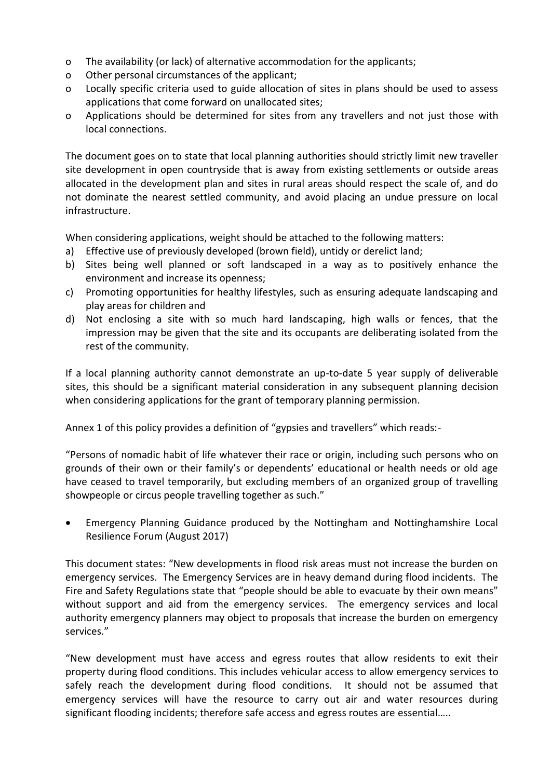- o The availability (or lack) of alternative accommodation for the applicants;
- o Other personal circumstances of the applicant;
- o Locally specific criteria used to guide allocation of sites in plans should be used to assess applications that come forward on unallocated sites;
- o Applications should be determined for sites from any travellers and not just those with local connections.

The document goes on to state that local planning authorities should strictly limit new traveller site development in open countryside that is away from existing settlements or outside areas allocated in the development plan and sites in rural areas should respect the scale of, and do not dominate the nearest settled community, and avoid placing an undue pressure on local infrastructure.

When considering applications, weight should be attached to the following matters:

- a) Effective use of previously developed (brown field), untidy or derelict land;
- b) Sites being well planned or soft landscaped in a way as to positively enhance the environment and increase its openness;
- c) Promoting opportunities for healthy lifestyles, such as ensuring adequate landscaping and play areas for children and
- d) Not enclosing a site with so much hard landscaping, high walls or fences, that the impression may be given that the site and its occupants are deliberating isolated from the rest of the community.

If a local planning authority cannot demonstrate an up-to-date 5 year supply of deliverable sites, this should be a significant material consideration in any subsequent planning decision when considering applications for the grant of temporary planning permission.

Annex 1 of this policy provides a definition of "gypsies and travellers" which reads:-

"Persons of nomadic habit of life whatever their race or origin, including such persons who on grounds of their own or their family's or dependents' educational or health needs or old age have ceased to travel temporarily, but excluding members of an organized group of travelling showpeople or circus people travelling together as such."

 Emergency Planning Guidance produced by the Nottingham and Nottinghamshire Local Resilience Forum (August 2017)

This document states: "New developments in flood risk areas must not increase the burden on emergency services. The Emergency Services are in heavy demand during flood incidents. The Fire and Safety Regulations state that "people should be able to evacuate by their own means" without support and aid from the emergency services. The emergency services and local authority emergency planners may object to proposals that increase the burden on emergency services."

"New development must have access and egress routes that allow residents to exit their property during flood conditions. This includes vehicular access to allow emergency services to safely reach the development during flood conditions. It should not be assumed that emergency services will have the resource to carry out air and water resources during significant flooding incidents; therefore safe access and egress routes are essential…..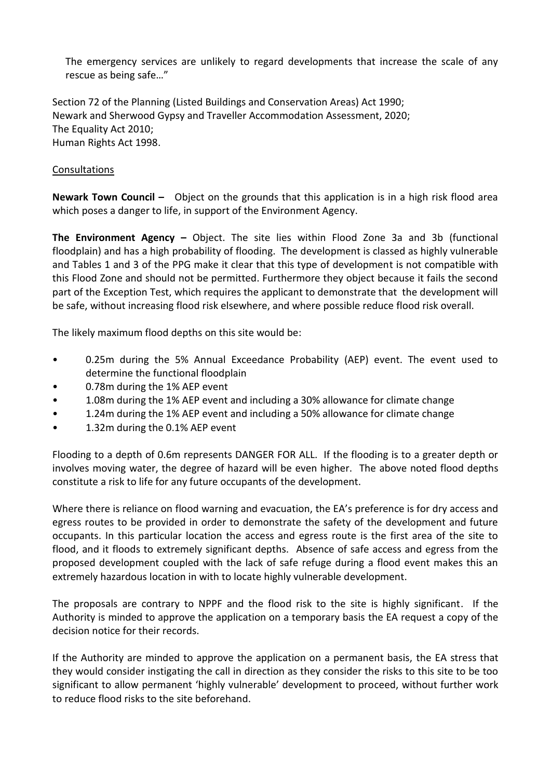The emergency services are unlikely to regard developments that increase the scale of any rescue as being safe…"

Section 72 of the Planning (Listed Buildings and Conservation Areas) Act 1990; Newark and Sherwood Gypsy and Traveller Accommodation Assessment, 2020; The Equality Act 2010; Human Rights Act 1998.

## Consultations

**Newark Town Council –** Object on the grounds that this application is in a high risk flood area which poses a danger to life, in support of the Environment Agency.

**The Environment Agency –** Object. The site lies within Flood Zone 3a and 3b (functional floodplain) and has a high probability of flooding. The development is classed as highly vulnerable and Tables 1 and 3 of the PPG make it clear that this type of development is not compatible with this Flood Zone and should not be permitted. Furthermore they object because it fails the second part of the Exception Test, which requires the applicant to demonstrate that the development will be safe, without increasing flood risk elsewhere, and where possible reduce flood risk overall.

The likely maximum flood depths on this site would be:

- 0.25m during the 5% Annual Exceedance Probability (AEP) event. The event used to determine the functional floodplain
- 0.78m during the 1% AEP event
- 1.08m during the 1% AEP event and including a 30% allowance for climate change
- 1.24m during the 1% AEP event and including a 50% allowance for climate change
- 1.32m during the 0.1% AEP event

Flooding to a depth of 0.6m represents DANGER FOR ALL. If the flooding is to a greater depth or involves moving water, the degree of hazard will be even higher. The above noted flood depths constitute a risk to life for any future occupants of the development.

Where there is reliance on flood warning and evacuation, the EA's preference is for dry access and egress routes to be provided in order to demonstrate the safety of the development and future occupants. In this particular location the access and egress route is the first area of the site to flood, and it floods to extremely significant depths. Absence of safe access and egress from the proposed development coupled with the lack of safe refuge during a flood event makes this an extremely hazardous location in with to locate highly vulnerable development.

The proposals are contrary to NPPF and the flood risk to the site is highly significant. If the Authority is minded to approve the application on a temporary basis the EA request a copy of the decision notice for their records.

If the Authority are minded to approve the application on a permanent basis, the EA stress that they would consider instigating the call in direction as they consider the risks to this site to be too significant to allow permanent 'highly vulnerable' development to proceed, without further work to reduce flood risks to the site beforehand.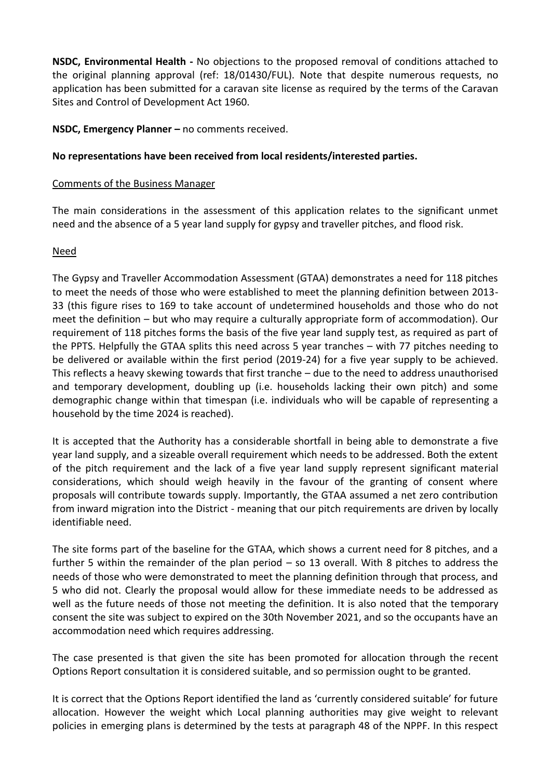**NSDC, Environmental Health -** No objections to the proposed removal of conditions attached to the original planning approval (ref: 18/01430/FUL). Note that despite numerous requests, no application has been submitted for a caravan site license as required by the terms of the Caravan Sites and Control of Development Act 1960.

**NSDC, Emergency Planner –** no comments received.

# **No representations have been received from local residents/interested parties.**

## Comments of the Business Manager

The main considerations in the assessment of this application relates to the significant unmet need and the absence of a 5 year land supply for gypsy and traveller pitches, and flood risk.

# Need

The Gypsy and Traveller Accommodation Assessment (GTAA) demonstrates a need for 118 pitches to meet the needs of those who were established to meet the planning definition between 2013- 33 (this figure rises to 169 to take account of undetermined households and those who do not meet the definition – but who may require a culturally appropriate form of accommodation). Our requirement of 118 pitches forms the basis of the five year land supply test, as required as part of the PPTS. Helpfully the GTAA splits this need across 5 year tranches – with 77 pitches needing to be delivered or available within the first period (2019-24) for a five year supply to be achieved. This reflects a heavy skewing towards that first tranche – due to the need to address unauthorised and temporary development, doubling up (i.e. households lacking their own pitch) and some demographic change within that timespan (i.e. individuals who will be capable of representing a household by the time 2024 is reached).

It is accepted that the Authority has a considerable shortfall in being able to demonstrate a five year land supply, and a sizeable overall requirement which needs to be addressed. Both the extent of the pitch requirement and the lack of a five year land supply represent significant material considerations, which should weigh heavily in the favour of the granting of consent where proposals will contribute towards supply. Importantly, the GTAA assumed a net zero contribution from inward migration into the District - meaning that our pitch requirements are driven by locally identifiable need.

The site forms part of the baseline for the GTAA, which shows a current need for 8 pitches, and a further 5 within the remainder of the plan period – so 13 overall. With 8 pitches to address the needs of those who were demonstrated to meet the planning definition through that process, and 5 who did not. Clearly the proposal would allow for these immediate needs to be addressed as well as the future needs of those not meeting the definition. It is also noted that the temporary consent the site was subject to expired on the 30th November 2021, and so the occupants have an accommodation need which requires addressing.

The case presented is that given the site has been promoted for allocation through the recent Options Report consultation it is considered suitable, and so permission ought to be granted.

It is correct that the Options Report identified the land as 'currently considered suitable' for future allocation. However the weight which Local planning authorities may give weight to relevant policies in emerging plans is determined by the tests at paragraph 48 of the NPPF. In this respect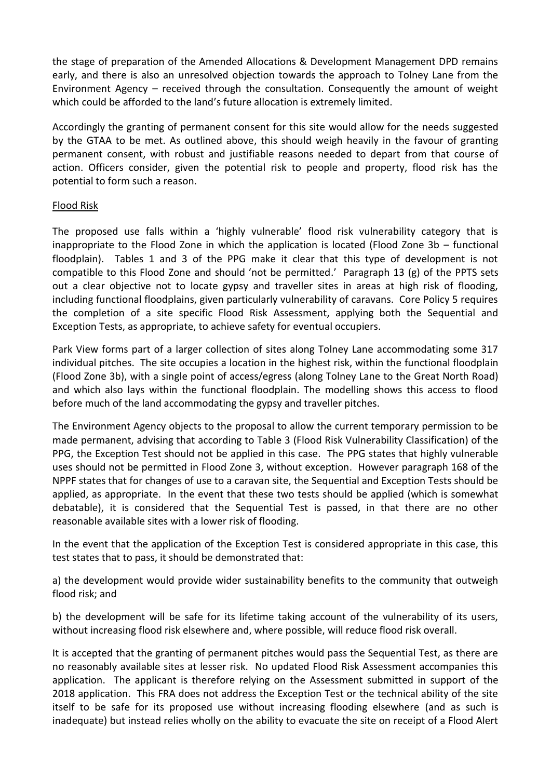the stage of preparation of the Amended Allocations & Development Management DPD remains early, and there is also an unresolved objection towards the approach to Tolney Lane from the Environment Agency – received through the consultation. Consequently the amount of weight which could be afforded to the land's future allocation is extremely limited.

Accordingly the granting of permanent consent for this site would allow for the needs suggested by the GTAA to be met. As outlined above, this should weigh heavily in the favour of granting permanent consent, with robust and justifiable reasons needed to depart from that course of action. Officers consider, given the potential risk to people and property, flood risk has the potential to form such a reason.

## Flood Risk

The proposed use falls within a 'highly vulnerable' flood risk vulnerability category that is inappropriate to the Flood Zone in which the application is located (Flood Zone 3b – functional floodplain). Tables 1 and 3 of the PPG make it clear that this type of development is not compatible to this Flood Zone and should 'not be permitted.' Paragraph 13 (g) of the PPTS sets out a clear objective not to locate gypsy and traveller sites in areas at high risk of flooding, including functional floodplains, given particularly vulnerability of caravans. Core Policy 5 requires the completion of a site specific Flood Risk Assessment, applying both the Sequential and Exception Tests, as appropriate, to achieve safety for eventual occupiers.

Park View forms part of a larger collection of sites along Tolney Lane accommodating some 317 individual pitches. The site occupies a location in the highest risk, within the functional floodplain (Flood Zone 3b), with a single point of access/egress (along Tolney Lane to the Great North Road) and which also lays within the functional floodplain. The modelling shows this access to flood before much of the land accommodating the gypsy and traveller pitches.

The Environment Agency objects to the proposal to allow the current temporary permission to be made permanent, advising that according to Table 3 (Flood Risk Vulnerability Classification) of the PPG, the Exception Test should not be applied in this case. The PPG states that highly vulnerable uses should not be permitted in Flood Zone 3, without exception. However paragraph 168 of the NPPF states that for changes of use to a caravan site, the Sequential and Exception Tests should be applied, as appropriate. In the event that these two tests should be applied (which is somewhat debatable), it is considered that the Sequential Test is passed, in that there are no other reasonable available sites with a lower risk of flooding.

In the event that the application of the Exception Test is considered appropriate in this case, this test states that to pass, it should be demonstrated that:

a) the development would provide wider sustainability benefits to the community that outweigh flood risk; and

b) the development will be safe for its lifetime taking account of the vulnerability of its users, without increasing flood risk elsewhere and, where possible, will reduce flood risk overall.

It is accepted that the granting of permanent pitches would pass the Sequential Test, as there are no reasonably available sites at lesser risk. No updated Flood Risk Assessment accompanies this application. The applicant is therefore relying on the Assessment submitted in support of the 2018 application. This FRA does not address the Exception Test or the technical ability of the site itself to be safe for its proposed use without increasing flooding elsewhere (and as such is inadequate) but instead relies wholly on the ability to evacuate the site on receipt of a Flood Alert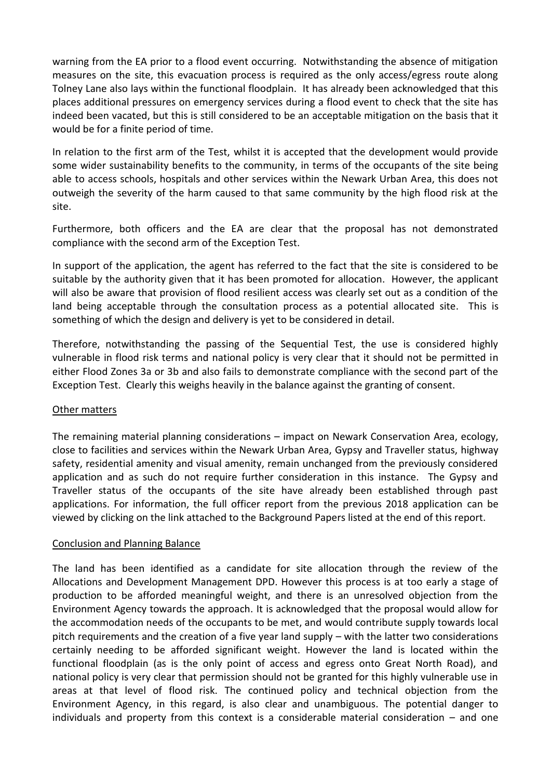warning from the EA prior to a flood event occurring. Notwithstanding the absence of mitigation measures on the site, this evacuation process is required as the only access/egress route along Tolney Lane also lays within the functional floodplain. It has already been acknowledged that this places additional pressures on emergency services during a flood event to check that the site has indeed been vacated, but this is still considered to be an acceptable mitigation on the basis that it would be for a finite period of time.

In relation to the first arm of the Test, whilst it is accepted that the development would provide some wider sustainability benefits to the community, in terms of the occupants of the site being able to access schools, hospitals and other services within the Newark Urban Area, this does not outweigh the severity of the harm caused to that same community by the high flood risk at the site.

Furthermore, both officers and the EA are clear that the proposal has not demonstrated compliance with the second arm of the Exception Test.

In support of the application, the agent has referred to the fact that the site is considered to be suitable by the authority given that it has been promoted for allocation. However, the applicant will also be aware that provision of flood resilient access was clearly set out as a condition of the land being acceptable through the consultation process as a potential allocated site. This is something of which the design and delivery is yet to be considered in detail.

Therefore, notwithstanding the passing of the Sequential Test, the use is considered highly vulnerable in flood risk terms and national policy is very clear that it should not be permitted in either Flood Zones 3a or 3b and also fails to demonstrate compliance with the second part of the Exception Test. Clearly this weighs heavily in the balance against the granting of consent.

## Other matters

The remaining material planning considerations – impact on Newark Conservation Area, ecology, close to facilities and services within the Newark Urban Area, Gypsy and Traveller status, highway safety, residential amenity and visual amenity, remain unchanged from the previously considered application and as such do not require further consideration in this instance. The Gypsy and Traveller status of the occupants of the site have already been established through past applications. For information, the full officer report from the previous 2018 application can be viewed by clicking on the link attached to the Background Papers listed at the end of this report.

#### Conclusion and Planning Balance

The land has been identified as a candidate for site allocation through the review of the Allocations and Development Management DPD. However this process is at too early a stage of production to be afforded meaningful weight, and there is an unresolved objection from the Environment Agency towards the approach. It is acknowledged that the proposal would allow for the accommodation needs of the occupants to be met, and would contribute supply towards local pitch requirements and the creation of a five year land supply – with the latter two considerations certainly needing to be afforded significant weight. However the land is located within the functional floodplain (as is the only point of access and egress onto Great North Road), and national policy is very clear that permission should not be granted for this highly vulnerable use in areas at that level of flood risk. The continued policy and technical objection from the Environment Agency, in this regard, is also clear and unambiguous. The potential danger to individuals and property from this context is a considerable material consideration – and one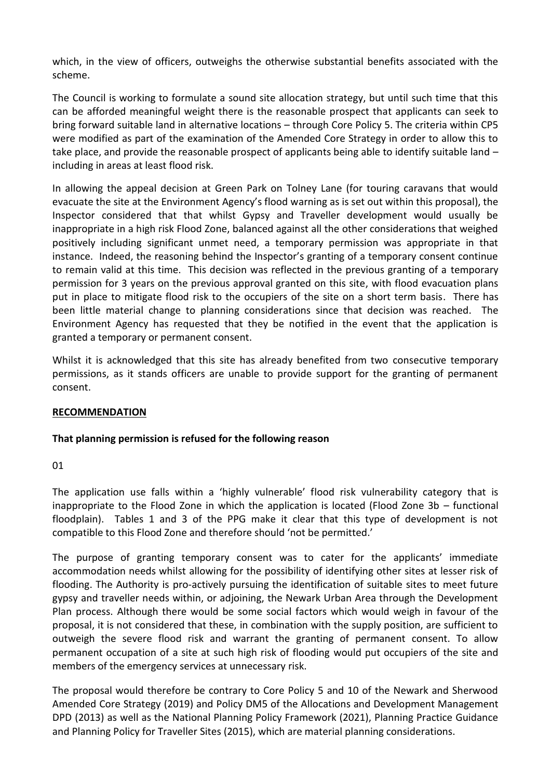which, in the view of officers, outweighs the otherwise substantial benefits associated with the scheme.

The Council is working to formulate a sound site allocation strategy, but until such time that this can be afforded meaningful weight there is the reasonable prospect that applicants can seek to bring forward suitable land in alternative locations – through Core Policy 5. The criteria within CP5 were modified as part of the examination of the Amended Core Strategy in order to allow this to take place, and provide the reasonable prospect of applicants being able to identify suitable land – including in areas at least flood risk.

In allowing the appeal decision at Green Park on Tolney Lane (for touring caravans that would evacuate the site at the Environment Agency's flood warning as is set out within this proposal), the Inspector considered that that whilst Gypsy and Traveller development would usually be inappropriate in a high risk Flood Zone, balanced against all the other considerations that weighed positively including significant unmet need, a temporary permission was appropriate in that instance. Indeed, the reasoning behind the Inspector's granting of a temporary consent continue to remain valid at this time. This decision was reflected in the previous granting of a temporary permission for 3 years on the previous approval granted on this site, with flood evacuation plans put in place to mitigate flood risk to the occupiers of the site on a short term basis. There has been little material change to planning considerations since that decision was reached. The Environment Agency has requested that they be notified in the event that the application is granted a temporary or permanent consent.

Whilst it is acknowledged that this site has already benefited from two consecutive temporary permissions, as it stands officers are unable to provide support for the granting of permanent consent.

## **RECOMMENDATION**

## **That planning permission is refused for the following reason**

01

The application use falls within a 'highly vulnerable' flood risk vulnerability category that is inappropriate to the Flood Zone in which the application is located (Flood Zone 3b – functional floodplain). Tables 1 and 3 of the PPG make it clear that this type of development is not compatible to this Flood Zone and therefore should 'not be permitted.'

The purpose of granting temporary consent was to cater for the applicants' immediate accommodation needs whilst allowing for the possibility of identifying other sites at lesser risk of flooding. The Authority is pro-actively pursuing the identification of suitable sites to meet future gypsy and traveller needs within, or adjoining, the Newark Urban Area through the Development Plan process. Although there would be some social factors which would weigh in favour of the proposal, it is not considered that these, in combination with the supply position, are sufficient to outweigh the severe flood risk and warrant the granting of permanent consent. To allow permanent occupation of a site at such high risk of flooding would put occupiers of the site and members of the emergency services at unnecessary risk.

The proposal would therefore be contrary to Core Policy 5 and 10 of the Newark and Sherwood Amended Core Strategy (2019) and Policy DM5 of the Allocations and Development Management DPD (2013) as well as the National Planning Policy Framework (2021), Planning Practice Guidance and Planning Policy for Traveller Sites (2015), which are material planning considerations.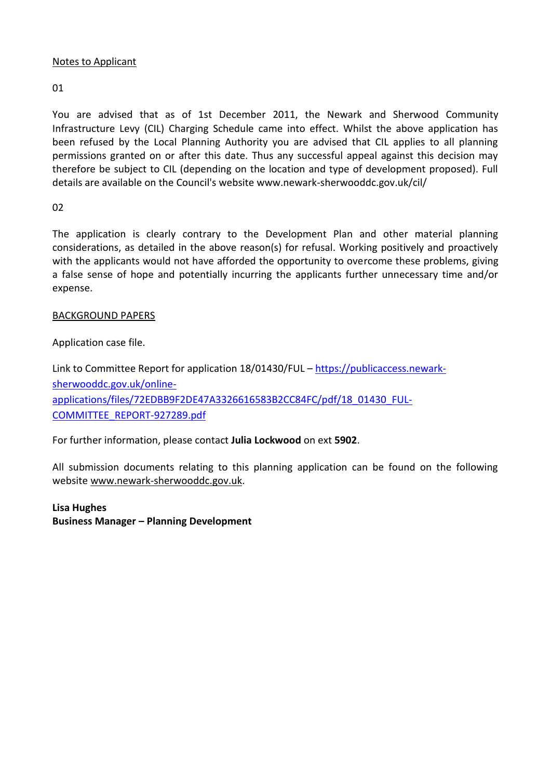## Notes to Applicant

# 01

You are advised that as of 1st December 2011, the Newark and Sherwood Community Infrastructure Levy (CIL) Charging Schedule came into effect. Whilst the above application has been refused by the Local Planning Authority you are advised that CIL applies to all planning permissions granted on or after this date. Thus any successful appeal against this decision may therefore be subject to CIL (depending on the location and type of development proposed). Full details are available on the Council's website www.newark-sherwooddc.gov.uk/cil/

# 02

The application is clearly contrary to the Development Plan and other material planning considerations, as detailed in the above reason(s) for refusal. Working positively and proactively with the applicants would not have afforded the opportunity to overcome these problems, giving a false sense of hope and potentially incurring the applicants further unnecessary time and/or expense.

# BACKGROUND PAPERS

Application case file.

Link to Committee Report for application 18/01430/FUL – [https://publicaccess.newark](https://publicaccess.newark-sherwooddc.gov.uk/online-applications/files/72EDBB9F2DE47A3326616583B2CC84FC/pdf/18_01430_FUL-COMMITTEE_REPORT-927289.pdf)[sherwooddc.gov.uk/online](https://publicaccess.newark-sherwooddc.gov.uk/online-applications/files/72EDBB9F2DE47A3326616583B2CC84FC/pdf/18_01430_FUL-COMMITTEE_REPORT-927289.pdf)[applications/files/72EDBB9F2DE47A3326616583B2CC84FC/pdf/18\\_01430\\_FUL-](https://publicaccess.newark-sherwooddc.gov.uk/online-applications/files/72EDBB9F2DE47A3326616583B2CC84FC/pdf/18_01430_FUL-COMMITTEE_REPORT-927289.pdf)[COMMITTEE\\_REPORT-927289.pdf](https://publicaccess.newark-sherwooddc.gov.uk/online-applications/files/72EDBB9F2DE47A3326616583B2CC84FC/pdf/18_01430_FUL-COMMITTEE_REPORT-927289.pdf)

For further information, please contact **Julia Lockwood** on ext **5902**.

All submission documents relating to this planning application can be found on the following websit[e www.newark-sherwooddc.gov.uk.](http://www.newark-sherwooddc.gov.uk/)

**Lisa Hughes Business Manager – Planning Development**